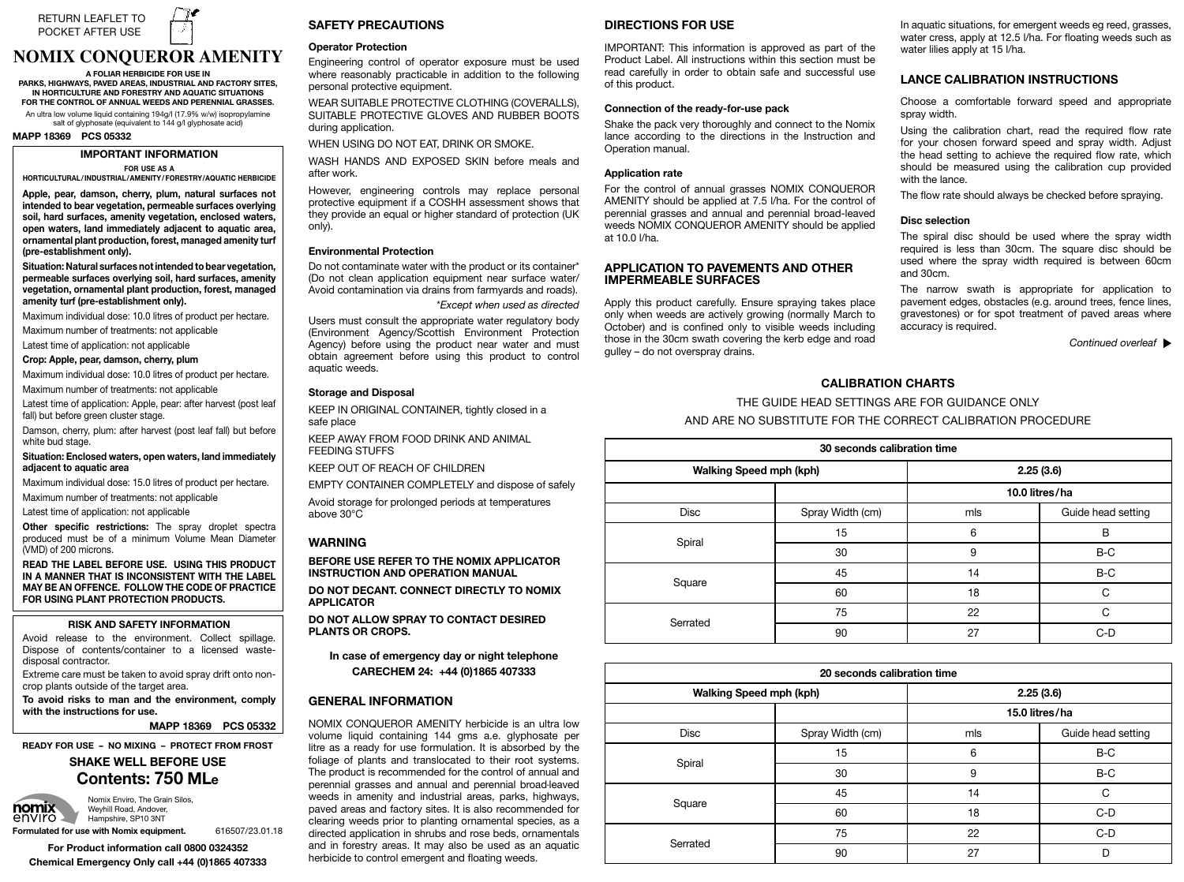

# **NOMIX CONQUEROR AMENITY**

**A FOLIAR HERBICIDE FOR USE IN** PARKS, HIGHWAYS, PAVED AREAS, INDUSTRIAL AND FACTORY SITES, IN HORTICULTURE AND FORESTRY AND AQUATIC SITUATIONS<br>FOR THE CONTROL OF ANNUAL WEEDS AND PERENNIAL GRASSES.

An ultra low volume liquid containing 194g/l (17.9% w/w) isopropylamine salt of glyphosate (equivalent to 144 g/l glyphosate acid)

#### **MAPP 18369 PCS 05332**

# *IMPORTANT INFORMATION*

**FOR USE AS A** 

**HORTICULTURAL/INDUSTRIAL/AMENITY/FORESTRY/AQUATIC HERBICIDE** 

Apple, pear, damson, cherry, plum, natural surfaces not **intended to bear vegetation, permeable surfaces overlying Situation: Natural surfaces not intended to bear vegetation, permeable surfaces overlying soil, hard surfaces, amenity vegetation, ornamental** soil, hard surfaces, amenity vegetation, enclosed waters, open waters, land immediately adjacent to aquatic area, ornamental plant production, forest, managed amenity turf **(pre-establishment only).** 

Situation: Natural surfaces not intended to bear vegetation, permeable surfaces overlying soil, hard surfaces, amenity vegetation, ornamental plant production, forest, managed amenity turf (pre-establishment only).

Maximum individual dose: 10.0 litres of product per hectare.

Maximum number of treatments: not applicable

Latest time of application: not applicable

Crop: Apple, pear, damson, cherry, plum

Maximum individual dose: 10.0 litres of product per hectare. Maximum number of treatments: not applicable

Latest time of application: Apple, pear: after harvest (post leaf fall) but before green cluster stage.

Damson, cherry, plum: after harvest (post leaf fall) but before white bud stage.

# white bud stage.<br>Situation: Enclosed waters, open waters, land immediately<br>adjacent to aquatic area **adjacent to aquatic area**

Maximum individual dose: 15.0 litres of product per hectare. Maximum number of treatments: not applicable

Latest time of application: not applicable

**Other specific restrictions:** The spray droplet spectral produced must be of a minimum Volume Mean Diameter (VMD) of 200 microns.

**READ THE LABEL BEFORE USE. USING THIS PRODUCT IN A MANNER THAT IS INCONSISTENT WITH THE LABEL MAY BE AN OFFENCE. FOLLOW THE CODE OF PRACTICE FOR USING PLANT PROTECTION PRODUCTS.**

# **RISK AND SAFETY INFORMATION**

Avoid release to the environment. Collect spillage.<br>Dispose of contents/container to a licensed waste-Engineering control of operator exposure must be Operator Protection disposal contractor. Avoid release to the environment. Collect spillage.

Extreme care must be taken to avoid spray drift onto nonfollowing personal protective equipment. crop plants outside of the target area.

WEAR SUITABLE PROTECTIVE CLOTHING used where reasonably practicable in addition to the **To avoid risks to man and the environment, comply**  (COVERALLS), SUITABLE PROTECTIVE GLOVES AND following personal protective equipment. **with the instructions for use.**

MAPP 18369 PCS 05332

**READY FOR USE – NO MIXING – PROTECT FROM FROST** 

# **Contents: 750 MLe SHAKE WELL BEFORE USE**



**Formulated for use with Nomix equipment.** 616507/23.01.18

**For Product information call 0800 0324352 Chemical Emergency Only call +44 (0)1865 407333**

# **SAFETY PRECAUTIONS**

# **Operator Protection equipment near application**

.<br>Engineering control of operator exposure must be used Users must consult the appropriate water regulatory \*Except when used as directed personal protective equipment. farmyards and roads). where reasonably practicable in addition to the following

WEAR SUITABLE PROTECTIVE CLOTHING (COVERALLS), WEAR SUITABLE FROTECTIVE GEOTHING (COVERALLS), SUITABLE PROTECTIVE GLOVES AND RUBBER BOOTS body (BEET THO LEGTTLE GEOVED ARR) THOUGHT BOOTS<br>during application.

product to control aquatic weeds. Protection Agency) before using the product near water and must obtain agreement before using this WHEN USING DO NOT EAT, DRINK OR SMOKE.

WASH HANDS AND EXPOSED SKIN before meals and after week after work.

after work.<br>However, engineering controls may replace personal protective equipment if a COSHH assessment shows that<br>they provide an equal or higher standard of protection (UK  $C(n, y)$ . protective equipment if a COSHH assessment shows that  $\mathsf{only}$ ). only).

# **Environmental Protection**

Environmental Protection<br>Do not contaminate water with the product or its container\* Avoid storage for prolonged periods at temperatures safely. (Do not clean application equipment near surface water/ above 30o C. Avoid storage for prolonged periods at temperatures Avoid contamination via drains from farmyards and roads). \**Except when used as directed*

aquatic weeds.

*Except when used as directed*<br>Users must consult the appropriate water regulatory body Agency) before using the product near water and must **INSTRUCTION AND OPERATION**<br> **BEFORE TO THE NOMINAL APPLICATOR**<br> **BEFORE TO THE NOMINAL APPLICATOR** (Environment Agency/Scottish Environment Protection

# **Storage and Disposal**

**PLANTS OR ALL PROPORTS.**<br> **REEP IN ORIGINAL CONTAINER, tightly closed in a** safe place

**In case of emergency day or night telephone** KEEP AWAY FROM FOOD DRINK AND ANIMAL **FEEDING STUFFS** 

**INSTRUCTION MANUALLY MANUALLY MANUALLY MANUALLY MANUALLY MANUALLY MANUALLY MANUALLY MANUALLY MANUALLY MANUALLY MANUALLY MANUALLY MANUALLY MANUALLY MANUALLY MANUALLY MANUALLY MANUALLY MANUALLY MANUALLY MANUALLY MANUALLY MA** 

KEEP OUT OF REACH OF CHILDREN

Avoid storage for prolonged periods at temperatures  $\Delta$ above 30°C $\overline{C}$  $A = \begin{bmatrix} 1 & 0 \\ 0 & 1 \end{bmatrix}$ EMPTY CONTAINER COMPLETELY and dispose of safely

#### of plants and translocated to their root systems. The ready for use formulation. It is absorbed by the foliage **WARNING**  $\ldots$  . given a same as a.e. glyphosate per litre as a.e. glyphosate per litre as a.e. glyphosate per litre as a.e. g

product is recommended for the control of annual and perennial grasses and annual and perennial broad-of plants and translocated to their root systems. The **BEFORE USE REFER TO THE NOMIX APPLICATOR INSTRUCTION AND OPERATION MANUAL** 

DO NOT DECANT. CONNECT DIRECTLY TO NOMIX recommended for clearing weeds prior to planting leaved weeds in amenity and industrial areas, parks, **APPLICATOR**

**DO NOT ALLOW SPRAY TO CONTACT DESIRED DO NOT ALLOW OF TAT TO CONTACT DLOTTLD**<br>PLANTS OR CROPS. ordamental species, as a directed application in shrubs in shrubs in shrubs in shrubs.

## In case of emergency day or night telephone **CARECHEM 24: +44 (0)1865 407333**  $C$ emigent and  $F$

# **GENERAL INFORMATION DIRECTIONS FOR USE**

mercer is the proved as part of the Product Label. The Product Label is an ultra low volume liquid containing 144 gms a.e. glyphosate per litre as a ready for use formulation. It is absorbed by the foliage of plants and translocated to their root systems. The product is recommended for the control of annual and **The product is recommended for the control of annual and perennial grasses and annual and perennial broad-leaved** weeds in amenity and industrial areas, parks, highways, weeds in amenty and industrial areas, parks, highways, paved areas and factory sites. It is also recommended for paved areas and nacidity sites. It is also recommended for clearing weeds prior to planting ornamental species, as a directed application in shrubs and rose beds, ornamentals and in forestry areas. It may also be used as an aquatic herbicide to control emergent and floating weeds.

# **DIRECTIONS FOR USE**

IMPORTANT: This information is approved as part of the Product Label. All instructions within this section must be read carefully in order to obtain safe and successful use of this product.

# **Connection of the ready-for-use pack**

Shake the pack very thoroughly and connect to the Nomix lance according to the directions in the Instruction and Operation manual.

# Application rate **called flow rate**

for your chosen forward speed and spray width. Using the calibration chart, read the required flow rate For the control of annual grasses NOMIX CONQUEROR For the control of annual grasses NOMIX CONQUEROR<br>AMENITY should be applied at 7.5 l/ha. For the control of ADJUST TESHOULD BE applied at 7.5 That I of the control of perennial grasses and annual and perennial broad-leaved proximital grasses and annual and percinital broad reaved<br>weeds NOMIX CONQUEROR AMENITY should be applied noode Nomix bengbenom anginin rendala be applied at 10.0 l/ha.

# **DISCRIPTION TO PAVEMENTS AND OTHER** spraying. **APPLICATION TO PAVEMENTS AND OTHER**

Apply this product carefully. Ensure spraying takes place Apply ans product carefully. Ensure spraying takes place<br>only when weeds are actively growing (normally March to October) and is confined only to visible weeds including those in the 30cm swath covering the kerb edge and road gulley - do not overspray drains.

In aquatic situations, for emergent weeds eg reed, grasses, water cress, apply at 12.5 l/ha. For floating weeds such as water lilies apply at 15 l/ha.

# **LANCE CALIBRATION INSTRUCTIONS**

spray width. Choose a comfortable forward speed and appropriate

Using the calibration chart, read the required flow rate Using the calibration chart, read the required how rate for your chosen forward speed and spray width. Adjust the head setting to achieve the required flow rate, which should be measured using the calibration cup provided with the lance.

The flow rate should always be checked before spraying. of less than 30cm may result in a reduced level of

# **Disc selection**

required is less than 30cm. The square disc should be used where the spray width required is between 60cm applicator using Nomix Cleaner, especially between **Equipment hygiene** and 30cm. The spiral disc should be used where the spray width<br>The spiral disc should be used where the spray width

The narrow swath is appropriate for application to The Harrow swath is appropriate for application to<br>pavement edges, obstacles (e.g. around trees, fence lines, pavement cuges, obstactes (e.g. around reces, rence lines, gravestones) or for spot treatment of paved areas where gravesconce, or for spot accuracy.

 *Continued overleaf*

## **CALIBRATION CHARTS**

**CALIBRATION CHARTS**<br>THE GUIDE HEAD SETTINGS ARE FOR GUIDANCE ONLY AND ARE NO SUBSTITUTE FOR THE CORRECT CALIBRATION PROCEDURE CALIBRATION PROCEDURE

| 30 seconds calibration time    |                  |                |                    |  |
|--------------------------------|------------------|----------------|--------------------|--|
| <b>Walking Speed mph (kph)</b> |                  | 2.25(3.6)      |                    |  |
|                                |                  | 10.0 litres/ha |                    |  |
| <b>Disc</b>                    | Spray Width (cm) | mls            | Guide head setting |  |
| Spiral                         | 15               | 6              | B                  |  |
|                                | 30               | 9              | $B-C$              |  |
| Square                         | 45               | 14             | $B-C$              |  |
|                                | 60               | 18             | Ċ                  |  |
| Serrated                       | 75               | 22             | C                  |  |
|                                | 90               | 27             | $C-D$              |  |

| 20 seconds calibration time |                  |                |                    |  |
|-----------------------------|------------------|----------------|--------------------|--|
| Walking Speed mph (kph)     |                  | 2.25(3.6)      |                    |  |
|                             |                  | 15.0 litres/ha |                    |  |
| <b>Disc</b>                 | Spray Width (cm) | mls            | Guide head setting |  |
| Spiral                      | 15               | 6              | B-C                |  |
|                             | 30               | 9              | B-C                |  |
| Square                      | 45               | 14             | C                  |  |
|                             | 60               | 18             | $C-D$              |  |
| Serrated                    | 75               | 22             | $C-D$              |  |
|                             | 90               | 27             | n                  |  |

protective extension if a COSHH assessment shows that  $\mathcal{L}_{\mathcal{A}}$ Nomix Enviro, The Grain Silos, **DOMIX** Weyhill Road, Andover,